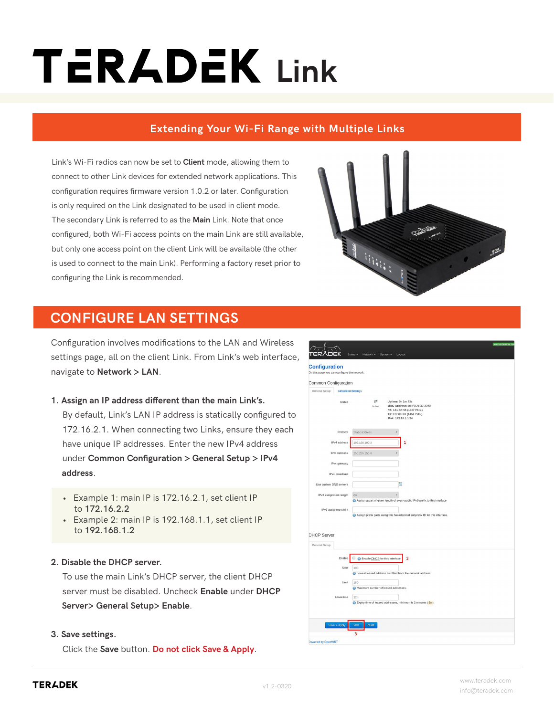# TERADEK Link

### **Extending Your Wi-Fi Range with Multiple Links**

Link's Wi-Fi radios can now be set to **Client** mode, allowing them to connect to other Link devices for extended network applications. This configuration requires firmware version 1.0.2 or later. Configuration is only required on the Link designated to be used in client mode. The secondary Link is referred to as the **Main** Link. Note that once configured, both Wi-Fi access points on the main Link are still available, but only one access point on the client Link will be available (the other is used to connect to the main Link). Performing a factory reset prior to configuring the Link is recommended.



## **CONFIGURE LAN SETTINGS**

Configuration involves modifications to the LAN and Wireless settings page, all on the client Link. From Link's web interface, navigate to **Network > LAN**.

- **1. Assign an IP address different than the main Link's.** By default, Link's LAN IP address is statically configured to 172.16.2.1. When connecting two Links, ensure they each have unique IP addresses. Enter the new IPv4 address under **Common Configuration > General Setup > IPv4 address**.
	- Example 1: main IP is 172.16.2.1, set client IP to **172.16.2.2**
	- Example 2: main IP is 192.168.1.1, set client IP to **192.168.1.2**

#### **2. Disable the DHCP server.**

 To use the main Link's DHCP server, the client DHCP server must be disabled. Uncheck **Enable** under **DHCP Server> General Setup> Enable**.

#### **3. Save settings.**

Click the **Save** button. **Do not click Save & Apply**.

| <b>Configuration</b>                        |                          |                                                                             |  |
|---------------------------------------------|--------------------------|-----------------------------------------------------------------------------|--|
| On this page you can configure the network. |                          |                                                                             |  |
| Common Configuration                        |                          |                                                                             |  |
| General Setup                               | <b>Advanced Settings</b> |                                                                             |  |
|                                             |                          | الثرائية                                                                    |  |
|                                             | Status                   | Uptime: 0h 1m 43s<br>MAC-Address: 04:F0:21:32:30:58<br>br-lan               |  |
|                                             |                          | RX: 161.32 KB (1727 Pkts.)<br>TX: 972.03 KB (1451 Pkts.)                    |  |
|                                             |                          | IPv4: 172.16.1.1/24                                                         |  |
|                                             |                          |                                                                             |  |
|                                             | Protocol                 | Static address                                                              |  |
|                                             | IPv4 address             | 1<br>192.168.100.2                                                          |  |
|                                             | IPv4 netmask             | 255.255.255.0                                                               |  |
|                                             |                          |                                                                             |  |
|                                             | IPv4 gateway             |                                                                             |  |
|                                             | IPv4 broadcast           |                                                                             |  |
|                                             |                          |                                                                             |  |
| Use custom DNS servers                      |                          | m                                                                           |  |
| IPv6 assignment length                      |                          | 60                                                                          |  |
|                                             |                          | Assign a part of given length of every public IPv6-prefix to this interface |  |
| IPv6 assignment hint                        |                          |                                                                             |  |
|                                             |                          | Assign prefix parts using this hexadecimal subprefix ID for this interface. |  |
|                                             |                          |                                                                             |  |
|                                             |                          |                                                                             |  |
| <b>DHCP Server</b>                          |                          |                                                                             |  |
| General Setup                               |                          |                                                                             |  |
|                                             |                          |                                                                             |  |
|                                             | Enable                   | Enable DHCP for this interface.<br>$\overline{\mathbf{2}}$                  |  |
|                                             | Start                    | 100                                                                         |  |
|                                             |                          | Cowest leased address as offset from the network address.                   |  |
|                                             | Limit                    | 150                                                                         |  |
|                                             |                          | Maximum number of leased addresses.                                         |  |
|                                             | Leasetime                | 12h                                                                         |  |
|                                             |                          | Expiry time of leased addresses, minimum is 2 minutes (2n).                 |  |
|                                             |                          |                                                                             |  |
|                                             |                          |                                                                             |  |
|                                             | Save & Apply             | Save<br>Reset                                                               |  |